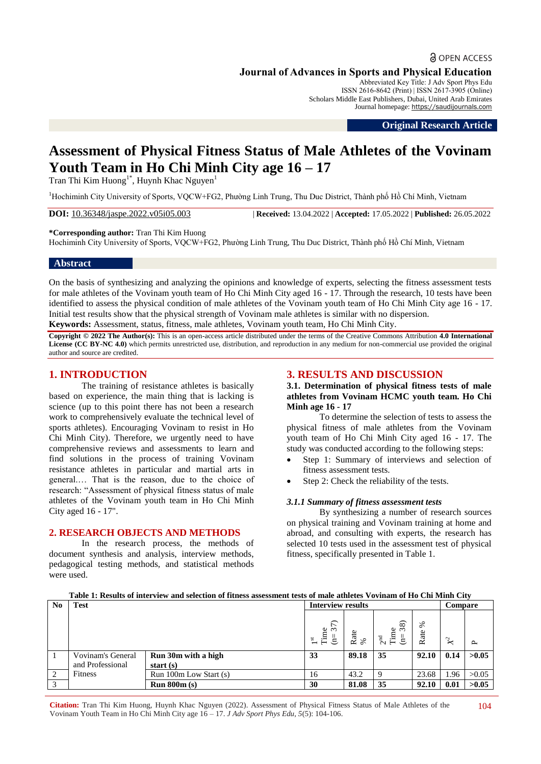# **a** OPEN ACCESS

**Journal of Advances in Sports and Physical Education**

Abbreviated Key Title: J Adv Sport Phys Edu ISSN 2616-8642 (Print) | ISSN 2617-3905 (Online) Scholars Middle East Publishers, Dubai, United Arab Emirates Journal homepage: [https://saudijournals.com](https://saudijournals.com/jaspe)

**Original Research Article**

# **Assessment of Physical Fitness Status of Male Athletes of the Vovinam Youth Team in Ho Chi Minh City age 16 – 17**

Tran Thi Kim Huong<sup>1\*</sup>, Huynh Khac Nguyen<sup>1</sup>

<sup>1</sup>Hochiminh City University of Sports, VQCW+FG2, Phường Linh Trung, Thu Duc District, Thành phố Hồ Chí Minh, Vietnam

**DOI:** 10.36348/jaspe.2022.v05i05.003 | **Received:** 13.04.2022 | **Accepted:** 17.05.2022 | **Published:** 26.05.2022

**\*Corresponding author:** Tran Thi Kim Huong

Hochiminh City University of Sports, VQCW+FG2, Phường Linh Trung, Thu Duc District, Thành phố Hồ Chí Minh, Vietnam

### **Abstract**

On the basis of synthesizing and analyzing the opinions and knowledge of experts, selecting the fitness assessment tests for male athletes of the Vovinam youth team of Ho Chi Minh City aged 16 - 17. Through the research, 10 tests have been identified to assess the physical condition of male athletes of the Vovinam youth team of Ho Chi Minh City age 16 - 17. Initial test results show that the physical strength of Vovinam male athletes is similar with no dispersion.

**Keywords:** Assessment, status, fitness, male athletes, Vovinam youth team, Ho Chi Minh City.

**Copyright © 2022 The Author(s):** This is an open-access article distributed under the terms of the Creative Commons Attribution **4.0 International License (CC BY-NC 4.0)** which permits unrestricted use, distribution, and reproduction in any medium for non-commercial use provided the original author and source are credited.

# **1. INTRODUCTION**

The training of resistance athletes is basically based on experience, the main thing that is lacking is science (up to this point there has not been a research work to comprehensively evaluate the technical level of sports athletes). Encouraging Vovinam to resist in Ho Chi Minh City). Therefore, we urgently need to have comprehensive reviews and assessments to learn and find solutions in the process of training Vovinam resistance athletes in particular and martial arts in general.… That is the reason, due to the choice of research: "Assessment of physical fitness status of male athletes of the Vovinam youth team in Ho Chi Minh City aged 16 - 17".

### **2. RESEARCH OBJECTS AND METHODS**

In the research process, the methods of document synthesis and analysis, interview methods, pedagogical testing methods, and statistical methods were used.

# **3. RESULTS AND DISCUSSION**

**3.1. Determination of physical fitness tests of male athletes from Vovinam HCMC youth team. Ho Chi Minh age 16 - 17**

To determine the selection of tests to assess the physical fitness of male athletes from the Vovinam youth team of Ho Chi Minh City aged 16 - 17. The study was conducted according to the following steps:

- Step 1: Summary of interviews and selection of fitness assessment tests.
- Step 2: Check the reliability of the tests.

### *3.1.1 Summary of fitness assessment tests*

By synthesizing a number of research sources on physical training and Vovinam training at home and abroad, and consulting with experts, the research has selected 10 tests used in the assessment test of physical fitness, specifically presented in Table 1.

#### **No Test Interview results Interview results I Compare**  $\sum$ Time<br>(n= 37) Rate % $2<sup>nd</sup>$ <br>Time  $(n= 38)$ Rate % *X 2*  $\sim$ 1 Vovinam's General and Professional Fitness **Run 30m with a high start (s) 33 89.18 35 92.10 0.14 >0.05** 2 | Fitness | Run 100m Low Start (s) | 16 | 43.2 | 9 | 23.68 | 1.96 | > 0.05 3 **Run 800m (s) 30 81.08 35 92.10 0.01 >0.05**

**Table 1: Results of interview and selection of fitness assessment tests of male athletes Vovinam of Ho Chi Minh City**

**Citation:** Tran Thi Kim Huong, Huynh Khac Nguyen (2022). Assessment of Physical Fitness Status of Male Athletes of the Vovinam Youth Team in Ho Chi Minh City age 16 – 17. *J Adv Sport Phys Edu, 5*(5): 104-106.

104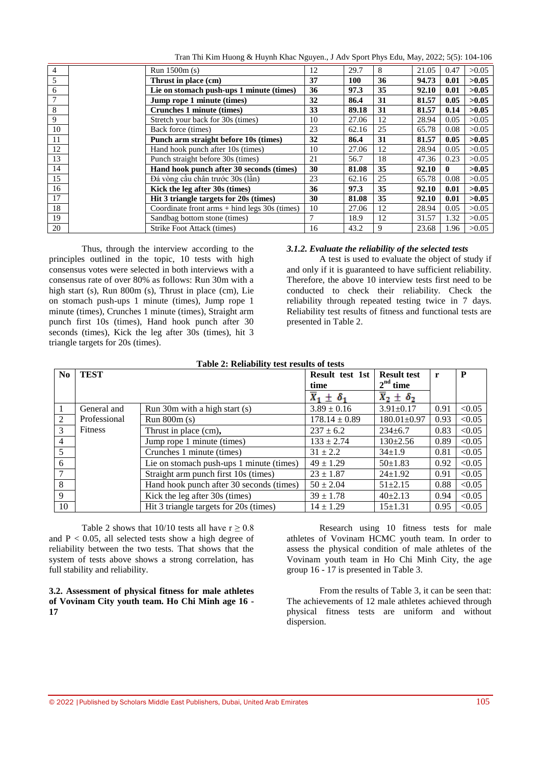Tran Thi Kim Huong & Huynh Khac Nguyen., J Adv Sport Phys Edu, May, 2022; 5(5): 104-106

| $\overline{4}$ | Run $1500m(s)$                                                   | 12 | 29.7  | 8  | 21.05 | 0.47         | >0.05 |
|----------------|------------------------------------------------------------------|----|-------|----|-------|--------------|-------|
| 5              | Thrust in place (cm)                                             | 37 | 100   | 36 | 94.73 | 0.01         | >0.05 |
| 6              | Lie on stomach push-ups 1 minute (times)                         | 36 | 97.3  | 35 | 92.10 | 0.01         | >0.05 |
| 7              | 32<br>Jump rope 1 minute (times)                                 |    | 86.4  | 31 | 81.57 | 0.05         | >0.05 |
| $\,8\,$        | Crunches 1 minute (times)                                        | 33 | 89.18 | 31 | 81.57 | 0.14         | >0.05 |
| 9              | Stretch your back for 30s (times)                                | 10 | 27.06 | 12 | 28.94 | 0.05         | >0.05 |
| 10             | Back force (times)                                               | 23 | 62.16 | 25 | 65.78 | 0.08         | >0.05 |
| 11             | Punch arm straight before 10s (times)                            | 32 | 86.4  | 31 | 81.57 | 0.05         | >0.05 |
| 12             | Hand hook punch after 10s (times)                                | 10 | 27.06 | 12 | 28.94 | 0.05         | >0.05 |
| 13             | Punch straight before 30s (times)                                | 21 | 56.7  | 18 | 47.36 | 0.23         | >0.05 |
| 14             | Hand hook punch after 30 seconds (times)                         | 30 | 81.08 | 35 | 92.10 | $\mathbf{0}$ | >0.05 |
| 15             | Đá vòng cầu chân trước 30s (lần)                                 | 23 | 62.16 | 25 | 65.78 | 0.08         | >0.05 |
| 16             | Kick the leg after 30s (times)                                   | 36 | 97.3  | 35 | 92.10 | 0.01         | >0.05 |
| 17             | Hit 3 triangle targets for 20s (times)                           | 30 | 81.08 | 35 | 92.10 | 0.01         | >0.05 |
| 18             | Coordinate front $arms + hind \text{ legs } 30s \text{ (times)}$ | 10 | 27.06 | 12 | 28.94 | 0.05         | >0.05 |
| 19             | Sandbag bottom stone (times)                                     | 7  | 18.9  | 12 | 31.57 | 1.32         | >0.05 |
| 20             | Strike Foot Attack (times)                                       | 16 | 43.2  | 9  | 23.68 | 1.96         | >0.05 |

Thus, through the interview according to the principles outlined in the topic, 10 tests with high consensus votes were selected in both interviews with a consensus rate of over 80% as follows: Run 30m with a high start (s), Run 800m (s), Thrust in place (cm), Lie on stomach push-ups 1 minute (times), Jump rope 1 minute (times), Crunches 1 minute (times), Straight arm punch first 10s (times), Hand hook punch after 30 seconds (times), Kick the leg after 30s (times), hit 3 triangle targets for 20s (times).

### *3.1.2. Evaluate the reliability of the selected tests*

A test is used to evaluate the object of study if and only if it is guaranteed to have sufficient reliability. Therefore, the above 10 interview tests first need to be conducted to check their reliability. Check the reliability through repeated testing twice in 7 days. Reliability test results of fitness and functional tests are presented in Table 2.

| N <sub>0</sub> | <b>TEST</b>    | Table 2. Reliability test results of tests | Result test 1st<br>time       | <b>Result test</b><br>$2nd$ time | r    | P      |
|----------------|----------------|--------------------------------------------|-------------------------------|----------------------------------|------|--------|
|                |                |                                            | $\overline{X}_1 \pm \delta_1$ | $\overline{X}_2 \pm \delta_2$    |      |        |
|                | General and    | Run 30m with a high start (s)              | $3.89 \pm 0.16$               | $3.91 \pm 0.17$                  | 0.91 | < 0.05 |
| 2              | Professional   | Run 800m(s)                                | $178.14 \pm 0.89$             | $180.01 \pm 0.97$                | 0.93 | < 0.05 |
| $\mathcal{F}$  | <b>Fitness</b> | Thrust in place (cm),                      | $237 \pm 6.2$                 | $234 \pm 6.7$                    | 0.83 | < 0.05 |
| 4              |                | Jump rope 1 minute (times)                 | $133 \pm 2.74$                | $130 \pm 2.56$                   | 0.89 | < 0.05 |
| 5              |                | Crunches 1 minute (times)                  | $31 \pm 2.2$                  | $34 \pm 1.9$                     | 0.81 | < 0.05 |
| 6              |                | Lie on stomach push-ups 1 minute (times)   | $49 \pm 1.29$                 | $50+1.83$                        | 0.92 | < 0.05 |
|                |                | Straight arm punch first 10s (times)       | $23 \pm 1.87$                 | $24 \pm 1.92$                    | 0.91 | < 0.05 |
| 8              |                | Hand hook punch after 30 seconds (times)   | $50 \pm 2.04$                 | $51 + 2.15$                      | 0.88 | < 0.05 |
| 9              |                | Kick the leg after 30s (times)             | $39 \pm 1.78$                 | $40\pm2.13$                      | 0.94 | < 0.05 |
| 10             |                | Hit 3 triangle targets for 20s (times)     | $14 \pm 1.29$                 | $15 + 1.31$                      | 0.95 | < 0.05 |

# **Table 2: Reliability test results of tests**

Table 2 shows that 10/10 tests all have  $r \ge 0.8$ and  $P < 0.05$ , all selected tests show a high degree of reliability between the two tests. That shows that the system of tests above shows a strong correlation, has full stability and reliability.

### **3.2. Assessment of physical fitness for male athletes of Vovinam City youth team. Ho Chi Minh age 16 - 17**

Research using 10 fitness tests for male athletes of Vovinam HCMC youth team. In order to assess the physical condition of male athletes of the Vovinam youth team in Ho Chi Minh City, the age group 16 - 17 is presented in Table 3.

From the results of Table 3, it can be seen that: The achievements of 12 male athletes achieved through physical fitness tests are uniform and without dispersion.